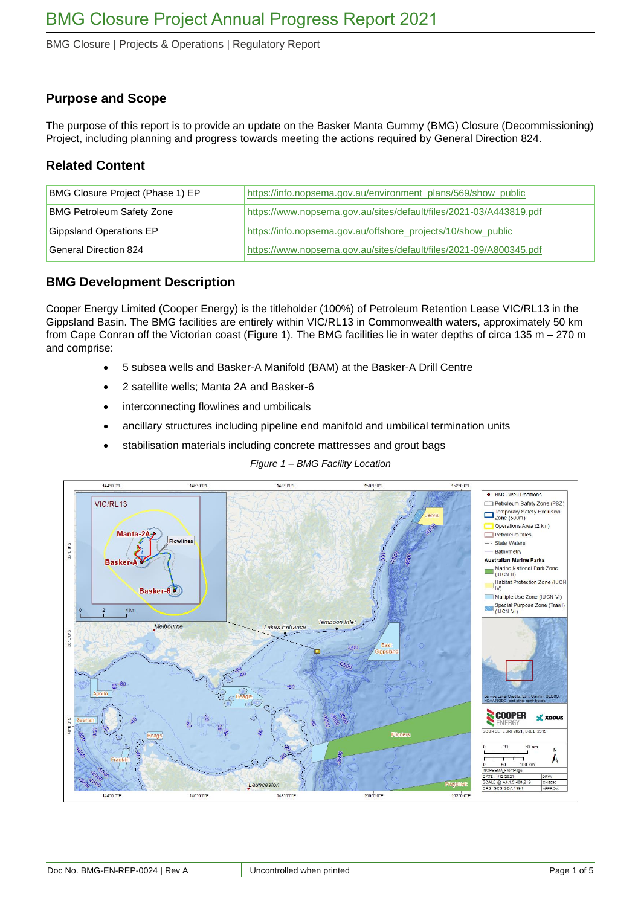BMG Closure | Projects & Operations | Regulatory Report

## **Purpose and Scope**

The purpose of this report is to provide an update on the Basker Manta Gummy (BMG) Closure (Decommissioning) Project, including planning and progress towards meeting the actions required by General Direction 824.

### **Related Content**

| BMG Closure Project (Phase 1) EP | https://info.nopsema.gov.au/environment_plans/569/show_public      |
|----------------------------------|--------------------------------------------------------------------|
| <b>BMG Petroleum Safety Zone</b> | https://www.nopsema.gov.au/sites/default/files/2021-03/A443819.pdf |
| Gippsland Operations EP          | https://info.nopsema.gov.au/offshore_projects/10/show_public       |
| General Direction 824            | https://www.nopsema.gov.au/sites/default/files/2021-09/A800345.pdf |

# **BMG Development Description**

Cooper Energy Limited (Cooper Energy) is the titleholder (100%) of Petroleum Retention Lease VIC/RL13 in the Gippsland Basin. The BMG facilities are entirely within VIC/RL13 in Commonwealth waters, approximately 50 km from Cape Conran off the Victorian coast [\(Figure 1\)](#page-0-0). The BMG facilities lie in water depths of circa 135 m – 270 m and comprise:

- 5 subsea wells and Basker-A Manifold (BAM) at the Basker-A Drill Centre
- 2 satellite wells; Manta 2A and Basker-6
- interconnecting flowlines and umbilicals
- ancillary structures including pipeline end manifold and umbilical termination units
- stabilisation materials including concrete mattresses and grout bags

#### *Figure 1 – BMG Facility Location*

<span id="page-0-0"></span>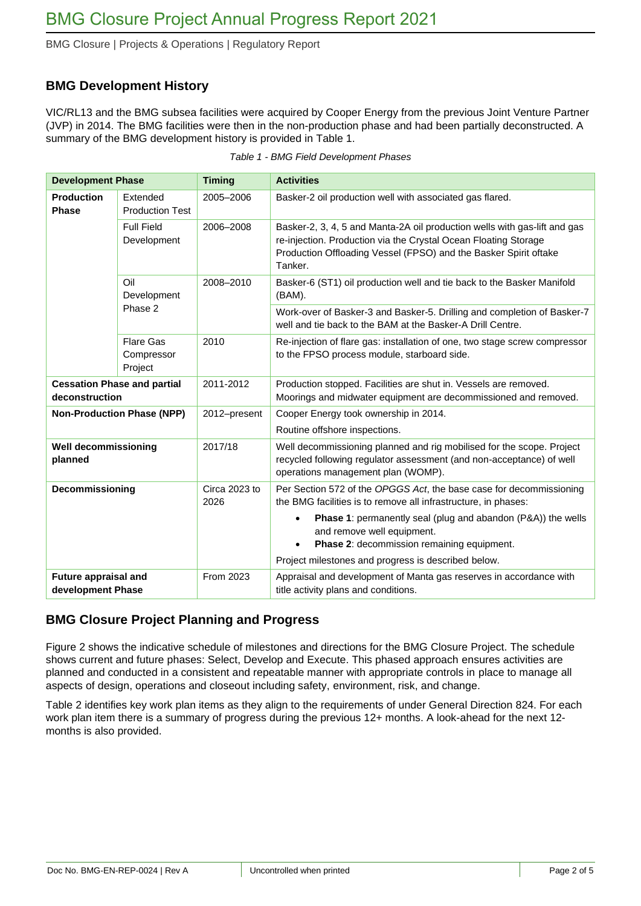BMG Closure | Projects & Operations | Regulatory Report

# **BMG Development History**

VIC/RL13 and the BMG subsea facilities were acquired by Cooper Energy from the previous Joint Venture Partner (JVP) in 2014. The BMG facilities were then in the non-production phase and had been partially deconstructed. A summary of the BMG development history is provided in [Table 1.](#page-1-0)

<span id="page-1-0"></span>

| <b>Development Phase</b>                             |                                           | <b>Timing</b>         | <b>Activities</b>                                                                                                                                                                                                           |  |
|------------------------------------------------------|-------------------------------------------|-----------------------|-----------------------------------------------------------------------------------------------------------------------------------------------------------------------------------------------------------------------------|--|
| <b>Production</b><br><b>Phase</b>                    | Extended<br><b>Production Test</b>        | 2005-2006             | Basker-2 oil production well with associated gas flared.                                                                                                                                                                    |  |
|                                                      | <b>Full Field</b><br>Development          | 2006-2008             | Basker-2, 3, 4, 5 and Manta-2A oil production wells with gas-lift and gas<br>re-injection. Production via the Crystal Ocean Floating Storage<br>Production Offloading Vessel (FPSO) and the Basker Spirit oftake<br>Tanker. |  |
|                                                      | Oil<br>Development<br>Phase 2             | 2008-2010             | Basker-6 (ST1) oil production well and tie back to the Basker Manifold<br>(BAM).                                                                                                                                            |  |
|                                                      |                                           |                       | Work-over of Basker-3 and Basker-5. Drilling and completion of Basker-7<br>well and tie back to the BAM at the Basker-A Drill Centre.                                                                                       |  |
|                                                      | <b>Flare Gas</b><br>Compressor<br>Project | 2010                  | Re-injection of flare gas: installation of one, two stage screw compressor<br>to the FPSO process module, starboard side.                                                                                                   |  |
| <b>Cessation Phase and partial</b><br>deconstruction |                                           | 2011-2012             | Production stopped. Facilities are shut in. Vessels are removed.<br>Moorings and midwater equipment are decommissioned and removed.                                                                                         |  |
|                                                      | <b>Non-Production Phase (NPP)</b>         | 2012-present          | Cooper Energy took ownership in 2014.<br>Routine offshore inspections.                                                                                                                                                      |  |
| <b>Well decommissioning</b><br>planned               |                                           | 2017/18               | Well decommissioning planned and rig mobilised for the scope. Project<br>recycled following regulator assessment (and non-acceptance) of well<br>operations management plan (WOMP).                                         |  |
| Decommissioning                                      |                                           | Circa 2023 to<br>2026 | Per Section 572 of the OPGGS Act, the base case for decommissioning<br>the BMG facilities is to remove all infrastructure, in phases:                                                                                       |  |
|                                                      |                                           |                       | <b>Phase 1:</b> permanently seal (plug and abandon (P&A)) the wells<br>$\bullet$<br>and remove well equipment.<br>Phase 2: decommission remaining equipment.<br>$\bullet$                                                   |  |
|                                                      |                                           |                       | Project milestones and progress is described below.                                                                                                                                                                         |  |
| <b>Future appraisal and</b><br>development Phase     |                                           | From 2023             | Appraisal and development of Manta gas reserves in accordance with<br>title activity plans and conditions.                                                                                                                  |  |

|  | Table 1 - BMG Field Development Phases |  |
|--|----------------------------------------|--|
|  |                                        |  |

# **BMG Closure Project Planning and Progress**

[Figure 2](#page-2-0) shows the indicative schedule of milestones and directions for the BMG Closure Project. The schedule shows current and future phases: Select, Develop and Execute. This phased approach ensures activities are planned and conducted in a consistent and repeatable manner with appropriate controls in place to manage all aspects of design, operations and closeout including safety, environment, risk, and change.

[Table 2](#page-3-0) identifies key work plan items as they align to the requirements of under General Direction 824. For each work plan item there is a summary of progress during the previous 12+ months. A look-ahead for the next 12 months is also provided.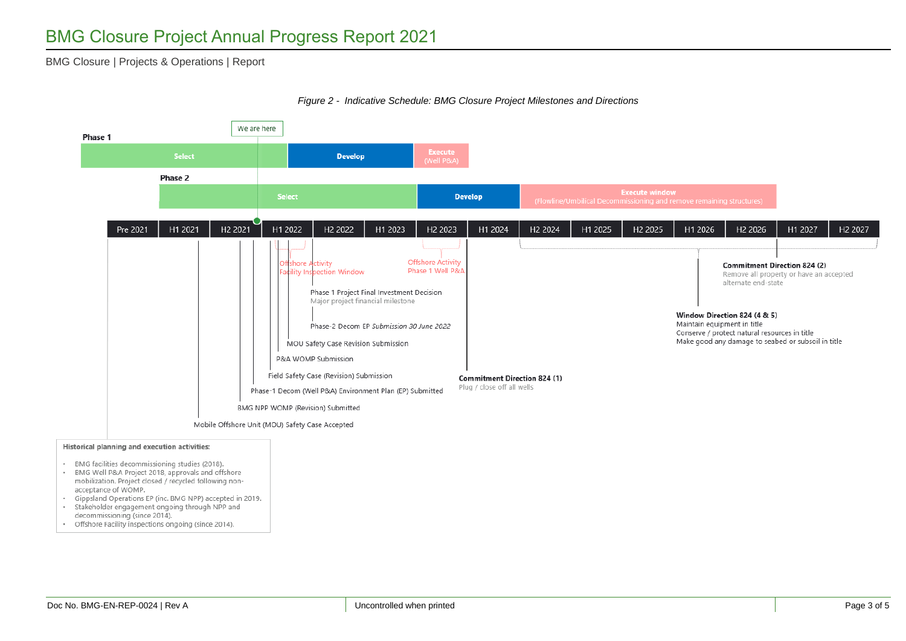#### BMG Closure | Projects & Operations | Report



#### *Figure 2 - Indicative Schedule: BMG Closure Project Milestones and Directions*

- <span id="page-2-0"></span>
- mobilization. Project closed / recycled following nonacceptance of WOMP.
- · Gippsland Operations EP (inc. BMG NPP) accepted in 2019.
- · Stakeholder engagement ongoing through NPP and decommissioning (since 2014).
- Offshore Facility inspections ongoing (since 2014).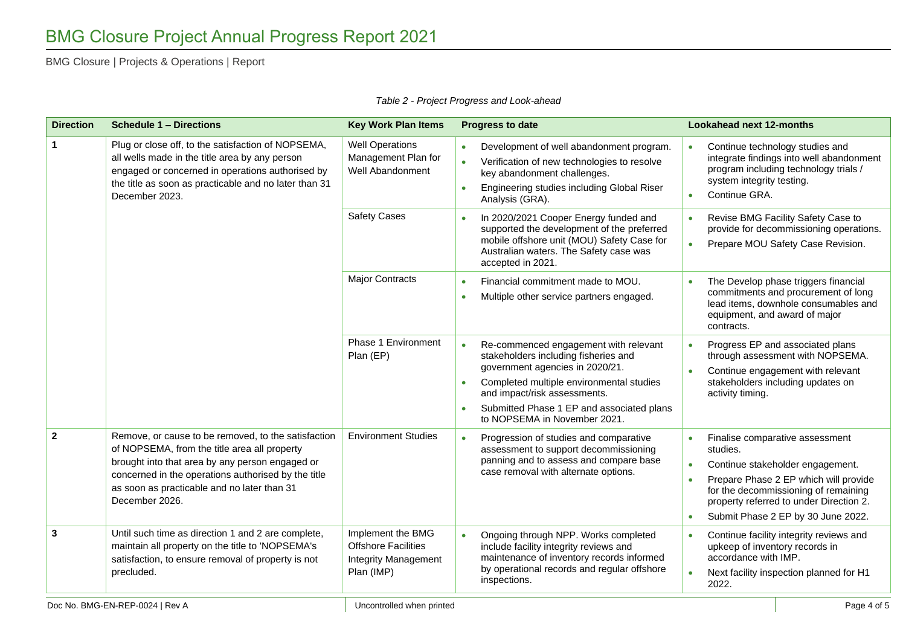BMG Closure | Projects & Operations | Report

<span id="page-3-0"></span>

| <b>Direction</b>    | <b>Schedule 1 - Directions</b>                                                                                                                                                                                                                                                 | <b>Key Work Plan Items</b>                                                                   | <b>Progress to date</b>                                                                                                                                                                                                                                                                             | <b>Lookahead next 12-months</b>                                                                                                                                                                                                                                             |
|---------------------|--------------------------------------------------------------------------------------------------------------------------------------------------------------------------------------------------------------------------------------------------------------------------------|----------------------------------------------------------------------------------------------|-----------------------------------------------------------------------------------------------------------------------------------------------------------------------------------------------------------------------------------------------------------------------------------------------------|-----------------------------------------------------------------------------------------------------------------------------------------------------------------------------------------------------------------------------------------------------------------------------|
| 1<br>December 2023. | Plug or close off, to the satisfaction of NOPSEMA,<br>all wells made in the title area by any person<br>engaged or concerned in operations authorised by<br>the title as soon as practicable and no later than 31                                                              | <b>Well Operations</b><br>Management Plan for<br>Well Abandonment                            | Development of well abandonment program.<br>Verification of new technologies to resolve<br>$\bullet$<br>key abandonment challenges.<br>Engineering studies including Global Riser<br>Analysis (GRA).                                                                                                | Continue technology studies and<br>integrate findings into well abandonment<br>program including technology trials /<br>system integrity testing.<br>Continue GRA.<br>$\bullet$                                                                                             |
|                     |                                                                                                                                                                                                                                                                                | <b>Safety Cases</b>                                                                          | In 2020/2021 Cooper Energy funded and<br>supported the development of the preferred<br>mobile offshore unit (MOU) Safety Case for<br>Australian waters. The Safety case was<br>accepted in 2021.                                                                                                    | Revise BMG Facility Safety Case to<br>provide for decommissioning operations.<br>Prepare MOU Safety Case Revision.                                                                                                                                                          |
|                     |                                                                                                                                                                                                                                                                                | <b>Major Contracts</b>                                                                       | Financial commitment made to MOU.<br>Multiple other service partners engaged.<br>$\bullet$                                                                                                                                                                                                          | The Develop phase triggers financial<br>$\bullet$<br>commitments and procurement of long<br>lead items, downhole consumables and<br>equipment, and award of major<br>contracts.                                                                                             |
|                     |                                                                                                                                                                                                                                                                                | Phase 1 Environment<br>Plan (EP)                                                             | Re-commenced engagement with relevant<br>$\bullet$<br>stakeholders including fisheries and<br>government agencies in 2020/21.<br>Completed multiple environmental studies<br>and impact/risk assessments.<br>Submitted Phase 1 EP and associated plans<br>$\bullet$<br>to NOPSEMA in November 2021. | Progress EP and associated plans<br>$\bullet$<br>through assessment with NOPSEMA.<br>Continue engagement with relevant<br>$\bullet$<br>stakeholders including updates on<br>activity timing.                                                                                |
| $\mathbf{2}$        | Remove, or cause to be removed, to the satisfaction<br>of NOPSEMA, from the title area all property<br>brought into that area by any person engaged or<br>concerned in the operations authorised by the title<br>as soon as practicable and no later than 31<br>December 2026. | <b>Environment Studies</b>                                                                   | Progression of studies and comparative<br>assessment to support decommissioning<br>panning and to assess and compare base<br>case removal with alternate options.                                                                                                                                   | Finalise comparative assessment<br>studies.<br>Continue stakeholder engagement.<br>$\bullet$<br>Prepare Phase 2 EP which will provide<br>for the decommissioning of remaining<br>property referred to under Direction 2.<br>Submit Phase 2 EP by 30 June 2022.<br>$\bullet$ |
| 3                   | Until such time as direction 1 and 2 are complete,<br>maintain all property on the title to 'NOPSEMA's<br>satisfaction, to ensure removal of property is not<br>precluded.                                                                                                     | Implement the BMG<br><b>Offshore Facilities</b><br><b>Integrity Management</b><br>Plan (IMP) | Ongoing through NPP. Works completed<br>include facility integrity reviews and<br>maintenance of inventory records informed<br>by operational records and regular offshore<br>inspections.                                                                                                          | Continue facility integrity reviews and<br>upkeep of inventory records in<br>accordance with IMP.<br>Next facility inspection planned for H1<br>2022.                                                                                                                       |